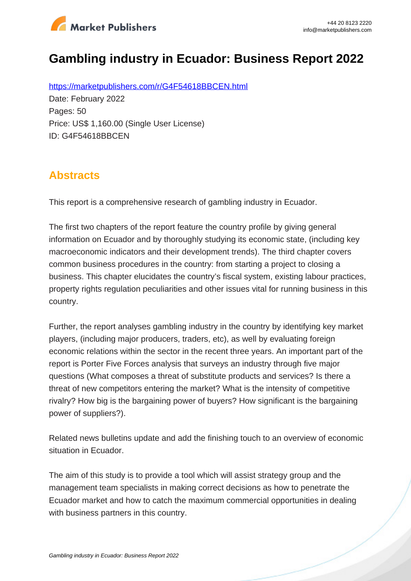

# **Gambling industry in Ecuador: Business Report 2022**

https://marketpublishers.com/r/G4F54618BBCEN.html Date: February 2022 Pages: 50 Price: US\$ 1,160.00 (Single User License) ID: G4F54618BBCEN

## **Abstracts**

This report is a comprehensive research of gambling industry in Ecuador.

The first two chapters of the report feature the country profile by giving general information on Ecuador and by thoroughly studying its economic state, (including key macroeconomic indicators and their development trends). The third chapter covers common business procedures in the country: from starting a project to closing a business. This chapter elucidates the country's fiscal system, existing labour practices, property rights regulation peculiarities and other issues vital for running business in this country.

Further, the report analyses gambling industry in the country by identifying key market players, (including major producers, traders, etc), as well by evaluating foreign economic relations within the sector in the recent three years. An important part of the report is Porter Five Forces analysis that surveys an industry through five major questions (What composes a threat of substitute products and services? Is there a threat of new competitors entering the market? What is the intensity of competitive rivalry? How big is the bargaining power of buyers? How significant is the bargaining power of suppliers?).

Related news bulletins update and add the finishing touch to an overview of economic situation in Ecuador.

The aim of this study is to provide a tool which will assist strategy group and the management team specialists in making correct decisions as how to penetrate the Ecuador market and how to catch the maximum commercial opportunities in dealing with business partners in this country.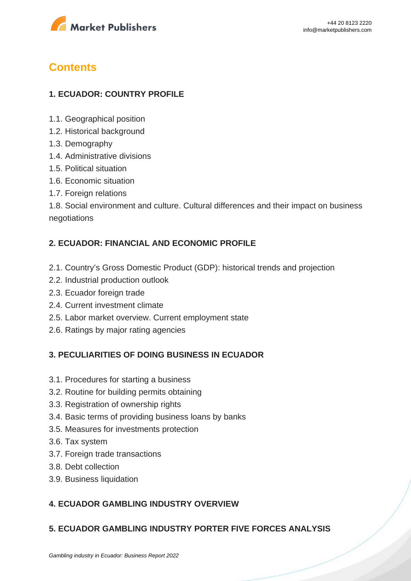

## **Contents**

## **1. ECUADOR: COUNTRY PROFILE**

- 1.1. Geographical position
- 1.2. Historical background
- 1.3. Demography
- 1.4. Administrative divisions
- 1.5. Political situation
- 1.6. Economic situation
- 1.7. Foreign relations

1.8. Social environment and culture. Cultural differences and their impact on business negotiations

### **2. ECUADOR: FINANCIAL AND ECONOMIC PROFILE**

- 2.1. Country's Gross Domestic Product (GDP): historical trends and projection
- 2.2. Industrial production outlook
- 2.3. Ecuador foreign trade
- 2.4. Current investment climate
- 2.5. Labor market overview. Current employment state
- 2.6. Ratings by major rating agencies

#### **3. PECULIARITIES OF DOING BUSINESS IN ECUADOR**

- 3.1. Procedures for starting a business
- 3.2. Routine for building permits obtaining
- 3.3. Registration of ownership rights
- 3.4. Basic terms of providing business loans by banks
- 3.5. Measures for investments protection
- 3.6. Tax system
- 3.7. Foreign trade transactions
- 3.8. Debt collection
- 3.9. Business liquidation

## **4. ECUADOR GAMBLING INDUSTRY OVERVIEW**

#### **5. ECUADOR GAMBLING INDUSTRY PORTER FIVE FORCES ANALYSIS**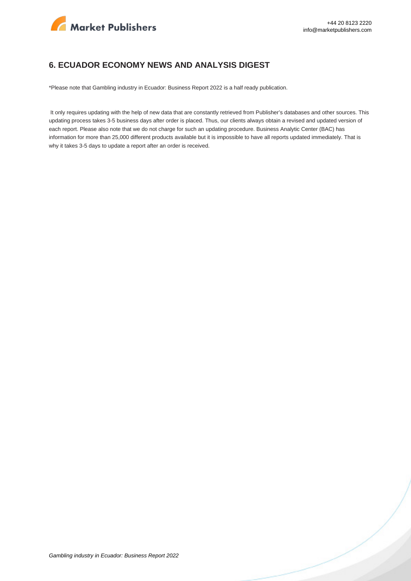

#### **6. ECUADOR ECONOMY NEWS AND ANALYSIS DIGEST**

\*Please note that Gambling industry in Ecuador: Business Report 2022 is a half ready publication.

 It only requires updating with the help of new data that are constantly retrieved from Publisher's databases and other sources. This updating process takes 3-5 business days after order is placed. Thus, our clients always obtain a revised and updated version of each report. Please also note that we do not charge for such an updating procedure. Business Analytic Center (BAC) has information for more than 25,000 different products available but it is impossible to have all reports updated immediately. That is why it takes 3-5 days to update a report after an order is received.